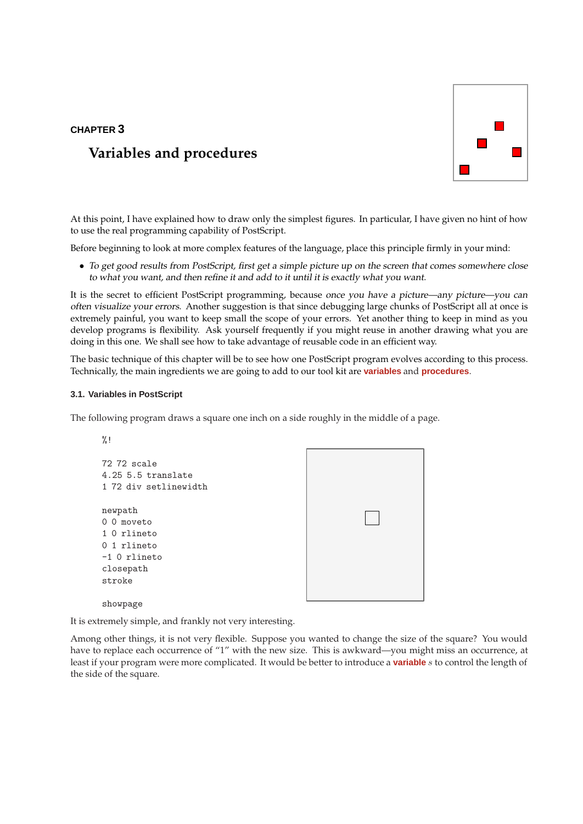# **CHAPTER 3 Variables and procedures**



At this point, I have explained how to draw only the simplest figures. In particular, I have given no hint of how to use the real programming capability of PostScript.

Before beginning to look at more complex features of the language, place this principle firmly in your mind:

• To get good results from PostScript, first get <sup>a</sup> simple picture up on the screen that comes somewhere close to what you want, and then refine it and add to it until it is exactly what you want.

It is the secret to efficient PostScript programming, because once you have <sup>a</sup> picture—any picture—you can often visualize your errors. Another suggestion is that since debugging large chunks of PostScript all at once is extremely painful, you want to keep small the scope of your errors. Yet another thing to keep in mind as you develop programs is flexibility. Ask yourself frequently if you might reuse in another drawing what you are doing in this one. We shall see how to take advantage of reusable code in an efficient way.

The basic technique of this chapter will be to see how one PostScript program evolves according to this process. Technically, the main ingredients we are going to add to our tool kit are **variables** and **procedures**.

# **3.1. Variables in PostScript**

The following program draws a square one inch on a side roughly in the middle of a page.

# %!



It is extremely simple, and frankly not very interesting.

Among other things, it is not very flexible. Suppose you wanted to change the size of the square? You would have to replace each occurrence of "1" with the new size. This is awkward—you might miss an occurrence, at least if your program were more complicated. It would be better to introduce a **variable** s to control the length of the side of the square.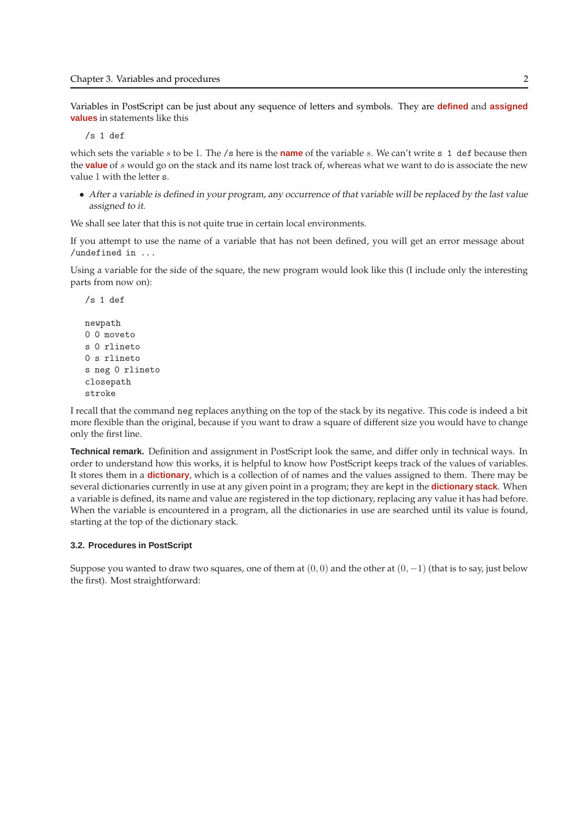Variables in PostScript can be just about any sequence of letters and symbols. They are **defined** and **assigned values** in statements like this

 $/s$  1 def

which sets the variable s to be 1. The /s here is the **name** of the variable s. We can't write s 1 def because then the **value** of s would go on the stack and its name lost track of, whereas what we want to do is associate the new value 1 with the letter s.

• After <sup>a</sup> variable is defined in your program, any occurrence of that variable will be replaced by the last value assigned to it.

We shall see later that this is not quite true in certain local environments.

If you attempt to use the name of a variable that has not been defined, you will get an error message about /undefined in ...

Using a variable for the side of the square, the new program would look like this (I include only the interesting parts from now on):

/s 1 def newpath 0 0 moveto s 0 rlineto 0 s rlineto s neg 0 rlineto closepath stroke

I recall that the command neg replaces anything on the top of the stack by its negative. This code is indeed a bit more flexible than the original, because if you want to draw a square of different size you would have to change only the first line.

**Technical remark.** Definition and assignment in PostScript look the same, and differ only in technical ways. In order to understand how this works, it is helpful to know how PostScript keeps track of the values of variables. It stores them in a **dictionary**, which is a collection of of names and the values assigned to them. There may be several dictionaries currently in use at any given point in a program; they are kept in the **dictionary stack**. When a variable is defined, its name and value are registered in the top dictionary, replacing any value it has had before. When the variable is encountered in a program, all the dictionaries in use are searched until its value is found, starting at the top of the dictionary stack.

## **3.2. Procedures in PostScript**

Suppose you wanted to draw two squares, one of them at  $(0, 0)$  and the other at  $(0, -1)$  (that is to say, just below the first). Most straightforward: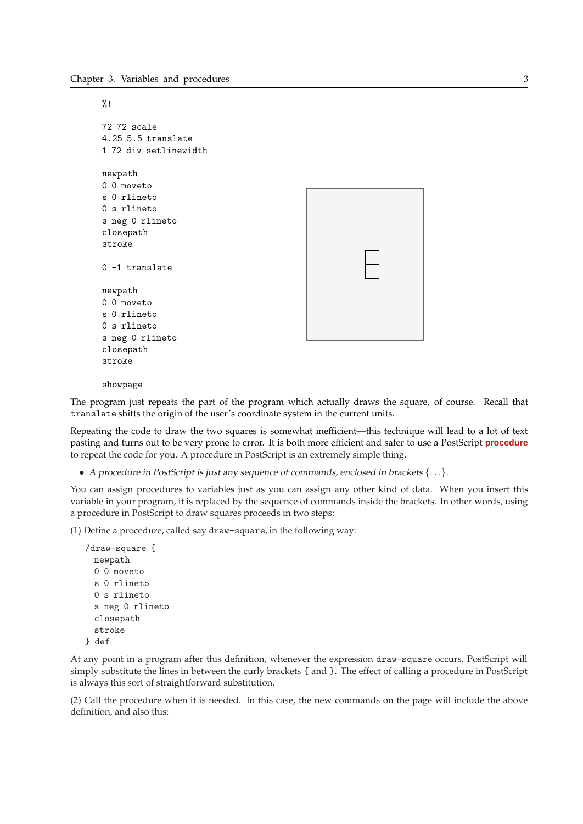%! 72 72 scale 4.25 5.5 translate 1 72 div setlinewidth newpath 0 0 moveto s 0 rlineto 0 s rlineto s neg 0 rlineto closepath stroke 0 -1 translate newpath 0 0 moveto s 0 rlineto 0 s rlineto s neg 0 rlineto closepath stroke

#### showpage

The program just repeats the part of the program which actually draws the square, of course. Recall that translate shifts the origin of the user's coordinate system in the current units.

Repeating the code to draw the two squares is somewhat inefficient—this technique will lead to a lot of text pasting and turns out to be very prone to error. It is both more efficient and safer to use a PostScript **procedure** to repeat the code for you. A procedure in PostScript is an extremely simple thing.

• A procedure in PostScript is just any sequence of commands, enclosed in brackets  $\{\ldots\}$ .

You can assign procedures to variables just as you can assign any other kind of data. When you insert this variable in your program, it is replaced by the sequence of commands inside the brackets. In other words, using a procedure in PostScript to draw squares proceeds in two steps:

(1) Define a procedure, called say draw-square, in the following way:

/draw-square { newpath 0 0 moveto s 0 rlineto 0 s rlineto s neg 0 rlineto closepath stroke } def

At any point in a program after this definition, whenever the expression draw-square occurs, PostScript will simply substitute the lines in between the curly brackets { and }. The effect of calling a procedure in PostScript is always this sort of straightforward substitution.

(2) Call the procedure when it is needed. In this case, the new commands on the page will include the above definition, and also this: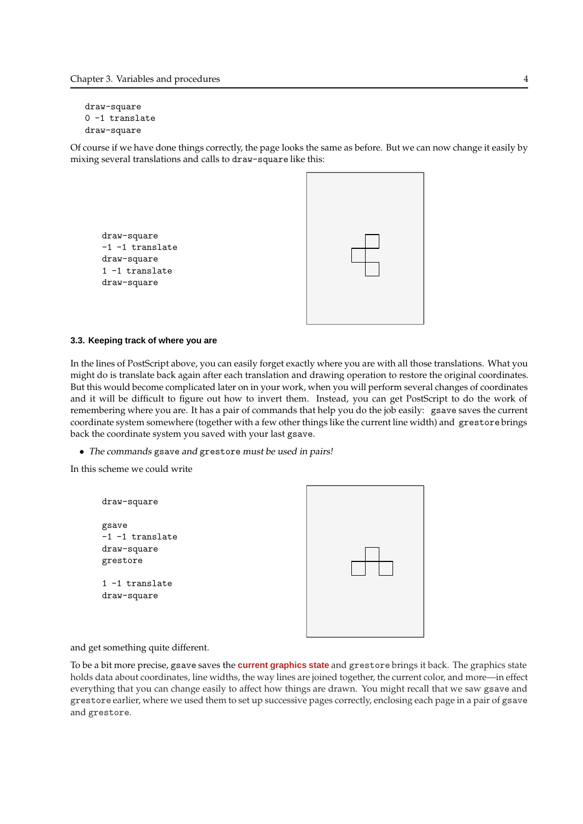draw-square 0 -1 translate draw-square

Of course if we have done things correctly, the page looks the same as before. But we can now change it easily by mixing several translations and calls to draw-square like this:



#### **3.3. Keeping track of where you are**

In the lines of PostScript above, you can easily forget exactly where you are with all those translations. What you might do is translate back again after each translation and drawing operation to restore the original coordinates. But this would become complicated later on in your work, when you will perform several changes of coordinates and it will be difficult to figure out how to invert them. Instead, you can get PostScript to do the work of remembering where you are. It has a pair of commands that help you do the job easily: gsave saves the current coordinate system somewhere (together with a few other things like the current line width) and grestore brings back the coordinate system you saved with your last gsave.

• The commands gsave and grestore must be used in pairs!

In this scheme we could write

draw-square gsave -1 -1 translate draw-square grestore 1 -1 translate draw-square

| ┌┼┼┐ |
|------|
|      |
|      |
|      |
|      |
|      |
|      |
|      |
|      |

and get something quite different.

To be a bit more precise, gsave saves the **current graphics state** and grestore brings it back. The graphics state holds data about coordinates, line widths, the way lines are joined together, the current color, and more—in effect everything that you can change easily to affect how things are drawn. You might recall that we saw gsave and grestore earlier, where we used them to set up successive pages correctly, enclosing each page in a pair of gsave and grestore.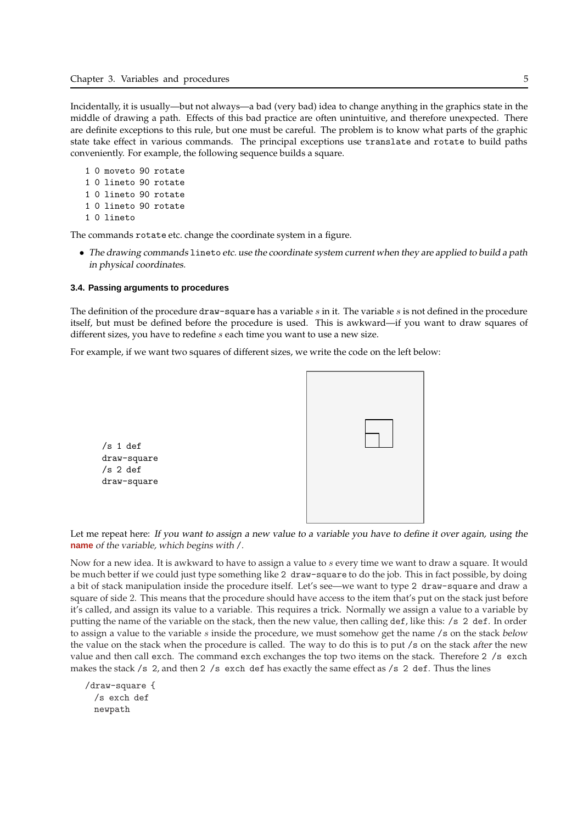Incidentally, it is usually—but not always—a bad (very bad) idea to change anything in the graphics state in the middle of drawing a path. Effects of this bad practice are often unintuitive, and therefore unexpected. There are definite exceptions to this rule, but one must be careful. The problem is to know what parts of the graphic state take effect in various commands. The principal exceptions use translate and rotate to build paths conveniently. For example, the following sequence builds a square.

1 0 moveto 90 rotate 1 0 lineto 90 rotate 1 0 lineto 90 rotate 1 0 lineto 90 rotate 1 0 lineto

The commands rotate etc. change the coordinate system in a figure.

• The drawing commands lineto etc. use the coordinate system current when they are applied to build <sup>a</sup> path in physical coordinates.

### **3.4. Passing arguments to procedures**

The definition of the procedure draw-square has a variable  $s$  in it. The variable  $s$  is not defined in the procedure itself, but must be defined before the procedure is used. This is awkward—if you want to draw squares of different sizes, you have to redefine s each time you want to use a new size.

For example, if we want two squares of different sizes, we write the code on the left below:



Let me repeat here: If you want to assign <sup>a</sup> new value to <sup>a</sup> variable you have to define it over again, using the **name** of the variable, which begins with /.

Now for a new idea. It is awkward to have to assign a value to s every time we want to draw a square. It would be much better if we could just type something like 2 draw-square to do the job. This in fact possible, by doing a bit of stack manipulation inside the procedure itself. Let's see—we want to type 2 draw-square and draw a square of side 2. This means that the procedure should have access to the item that's put on the stack just before it's called, and assign its value to a variable. This requires a trick. Normally we assign a value to a variable by putting the name of the variable on the stack, then the new value, then calling def, like this: /s 2 def. In order to assign a value to the variable s inside the procedure, we must somehow get the name /s on the stack below the value on the stack when the procedure is called. The way to do this is to put /s on the stack after the new value and then call exch. The command exch exchanges the top two items on the stack. Therefore 2 /s exch makes the stack /s 2, and then 2 /s exch def has exactly the same effect as /s 2 def. Thus the lines

```
/draw-square {
 /s exch def
 newpath
```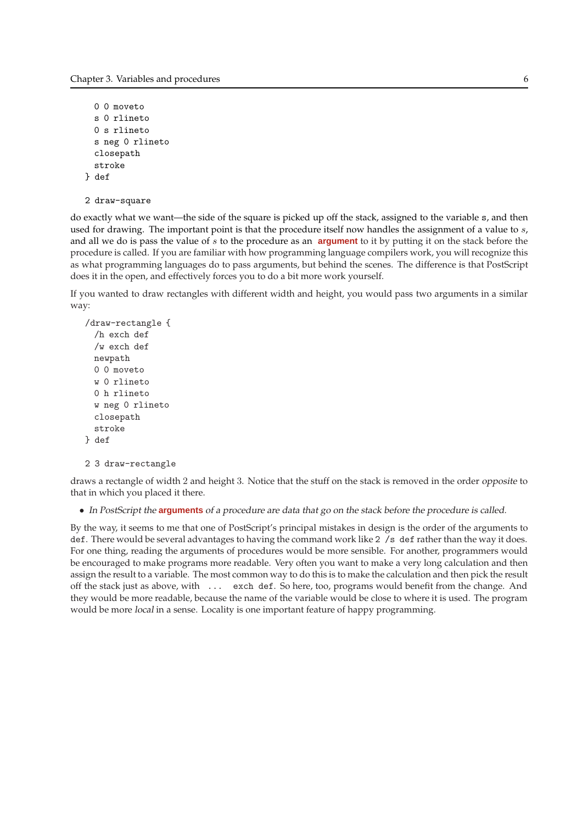```
0 0 moveto
 s 0 rlineto
 0 s rlineto
 s neg 0 rlineto
 closepath
 stroke
} def
```

```
2 draw-square
```
do exactly what we want—the side of the square is picked up off the stack, assigned to the variable s, and then used for drawing. The important point is that the procedure itself now handles the assignment of a value to  $s$ , and all we do is pass the value of s to the procedure as an **argument** to it by putting it on the stack before the procedure is called. If you are familiar with how programming language compilers work, you will recognize this as what programming languages do to pass arguments, but behind the scenes. The difference is that PostScript does it in the open, and effectively forces you to do a bit more work yourself.

If you wanted to draw rectangles with different width and height, you would pass two arguments in a similar way:

```
/draw-rectangle {
 /h exch def
 /w exch def
 newpath
 0 0 moveto
 w 0 rlineto
 0 h rlineto
 w neg 0 rlineto
 closepath
 stroke
} def
```

```
2 3 draw-rectangle
```
draws a rectangle of width 2 and height 3. Notice that the stuff on the stack is removed in the order opposite to that in which you placed it there.

• In PostScript the **arguments** of <sup>a</sup> procedure are data that go on the stack before the procedure is called.

By the way, it seems to me that one of PostScript's principal mistakes in design is the order of the arguments to def. There would be several advantages to having the command work like 2 /s def rather than the way it does. For one thing, reading the arguments of procedures would be more sensible. For another, programmers would be encouraged to make programs more readable. Very often you want to make a very long calculation and then assign the result to a variable. The most common way to do this is to make the calculation and then pick the result off the stack just as above, with ... exch def. So here, too, programs would benefit from the change. And they would be more readable, because the name of the variable would be close to where it is used. The program would be more local in a sense. Locality is one important feature of happy programming.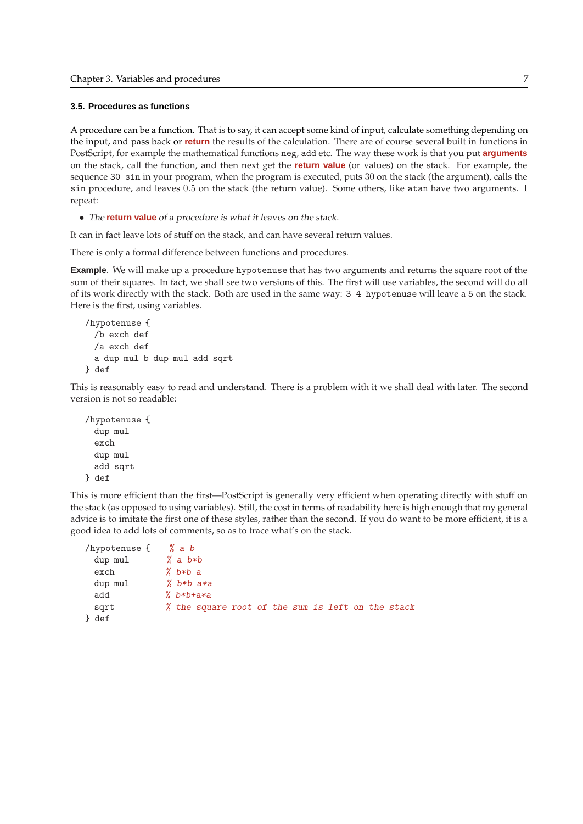#### **3.5. Procedures as functions**

A procedure can be a function. That is to say, it can accept some kind of input, calculate something depending on the input, and pass back or **return** the results of the calculation. There are of course several built in functions in PostScript, for example the mathematical functions neg, add etc. The way these work is that you put **arguments** on the stack, call the function, and then next get the **return value** (or values) on the stack. For example, the sequence 30 sin in your program, when the program is executed, puts 30 on the stack (the argument), calls the sin procedure, and leaves 0.5 on the stack (the return value). Some others, like atan have two arguments. I repeat:

• The **return value** of <sup>a</sup> procedure is what it leaves on the stack.

It can in fact leave lots of stuff on the stack, and can have several return values.

There is only a formal difference between functions and procedures.

**Example**. We will make up a procedure hypotenuse that has two arguments and returns the square root of the sum of their squares. In fact, we shall see two versions of this. The first will use variables, the second will do all of its work directly with the stack. Both are used in the same way: 3 4 hypotenuse will leave a 5 on the stack. Here is the first, using variables.

```
/hypotenuse {
 /b exch def
 /a exch def
 a dup mul b dup mul add sqrt
} def
```
This is reasonably easy to read and understand. There is a problem with it we shall deal with later. The second version is not so readable:

```
/hypotenuse {
 dup mul
 exch
 dup mul
 add sqrt
} def
```
This is more efficient than the first—PostScript is generally very efficient when operating directly with stuff on the stack (as opposed to using variables). Still, the cost in terms of readability here is high enough that my general advice is to imitate the first one of these styles, rather than the second. If you do want to be more efficient, it is a good idea to add lots of comments, so as to trace what's on the stack.

```
/hypotenuse { % a b
 dup mul % a b * bexch % b * b adup mul % b * b a*a
 add % b*b+a*a
 sqrt \frac{1}{2} the square root of the sum is left on the stack
} def
```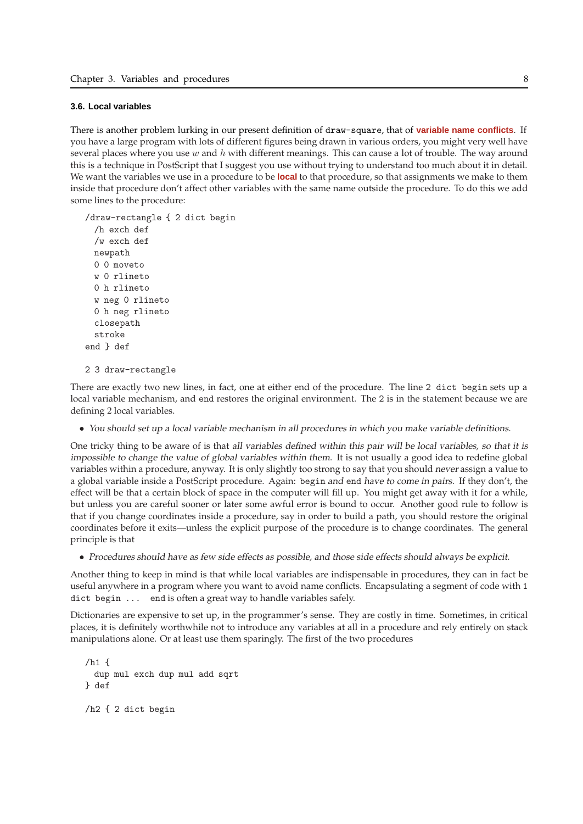### **3.6. Local variables**

There is another problem lurking in our present definition of draw-square, that of **variable name conflicts**. If you have a large program with lots of different figures being drawn in various orders, you might very well have several places where you use w and h with different meanings. This can cause a lot of trouble. The way around this is a technique in PostScript that I suggest you use without trying to understand too much about it in detail. We want the variables we use in a procedure to be **local** to that procedure, so that assignments we make to them inside that procedure don't affect other variables with the same name outside the procedure. To do this we add some lines to the procedure:

/draw-rectangle { 2 dict begin /h exch def /w exch def newpath 0 0 moveto w 0 rlineto 0 h rlineto w neg 0 rlineto 0 h neg rlineto closepath stroke end } def

2 3 draw-rectangle

There are exactly two new lines, in fact, one at either end of the procedure. The line 2 dict begin sets up a local variable mechanism, and end restores the original environment. The 2 is in the statement because we are defining 2 local variables.

• You should set up <sup>a</sup> local variable mechanism in all procedures in which you make variable definitions.

One tricky thing to be aware of is that all variables defined within this pair will be local variables, so that it is impossible to change the value of global variables within them. It is not usually a good idea to redefine global variables within a procedure, anyway. It is only slightly too strong to say that you should never assign a value to a global variable inside a PostScript procedure. Again: begin and end have to come in pairs. If they don't, the effect will be that a certain block of space in the computer will fill up. You might get away with it for a while, but unless you are careful sooner or later some awful error is bound to occur. Another good rule to follow is that if you change coordinates inside a procedure, say in order to build a path, you should restore the original coordinates before it exits—unless the explicit purpose of the procedure is to change coordinates. The general principle is that

• Procedures should have as few side effects as possible, and those side effects should always be explicit.

Another thing to keep in mind is that while local variables are indispensable in procedures, they can in fact be useful anywhere in a program where you want to avoid name conflicts. Encapsulating a segment of code with 1 dict begin ... end is often a great way to handle variables safely.

Dictionaries are expensive to set up, in the programmer's sense. They are costly in time. Sometimes, in critical places, it is definitely worthwhile not to introduce any variables at all in a procedure and rely entirely on stack manipulations alone. Or at least use them sparingly. The first of the two procedures

 $/h1 f$ dup mul exch dup mul add sqrt } def /h2 { 2 dict begin